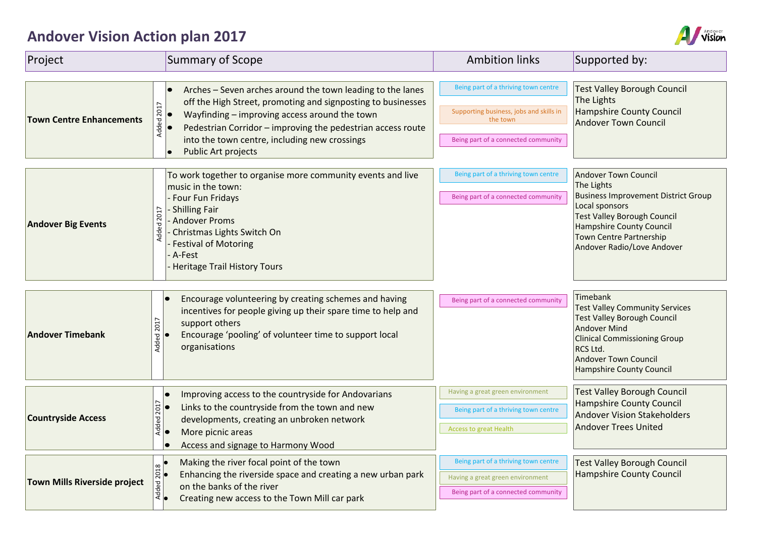## **Andover Vision Action plan 2017**



| Project                             | <b>Summary of Scope</b>                                                                                                                                                                                                                                                                                                          | <b>Ambition links</b>                                                                                                              | Supported by:                                                                                                                                                                                                                               |
|-------------------------------------|----------------------------------------------------------------------------------------------------------------------------------------------------------------------------------------------------------------------------------------------------------------------------------------------------------------------------------|------------------------------------------------------------------------------------------------------------------------------------|---------------------------------------------------------------------------------------------------------------------------------------------------------------------------------------------------------------------------------------------|
| <b>Town Centre Enhancements</b>     | Arches - Seven arches around the town leading to the lanes<br>off the High Street, promoting and signposting to businesses<br>Added 2017<br>Wayfinding - improving access around the town<br>Pedestrian Corridor - improving the pedestrian access route<br>into the town centre, including new crossings<br>Public Art projects | Being part of a thriving town centre<br>Supporting business, jobs and skills in<br>the town<br>Being part of a connected community | <b>Test Valley Borough Council</b><br>The Lights<br><b>Hampshire County Council</b><br><b>Andover Town Council</b>                                                                                                                          |
| <b>Andover Big Events</b>           | To work together to organise more community events and live<br>music in the town:<br><b>Four Fun Fridays</b><br>- Shilling Fair<br>Added 2017<br>Andover Proms<br>Christmas Lights Switch On<br><b>Festival of Motoring</b><br>A-Fest<br>Heritage Trail History Tours                                                            | Being part of a thriving town centre<br>Being part of a connected community                                                        | <b>Andover Town Council</b><br>The Lights<br><b>Business Improvement District Group</b><br>Local sponsors<br><b>Test Valley Borough Council</b><br><b>Hampshire County Council</b><br>Town Centre Partnership<br>Andover Radio/Love Andover |
| <b>Andover Timebank</b>             | Encourage volunteering by creating schemes and having<br>incentives for people giving up their spare time to help and<br>Added 2017<br>support others<br>Encourage 'pooling' of volunteer time to support local<br>organisations                                                                                                 | Being part of a connected community                                                                                                | Timebank<br><b>Test Valley Community Services</b><br><b>Test Valley Borough Council</b><br><b>Andover Mind</b><br><b>Clinical Commissioning Group</b><br>RCS Ltd.<br><b>Andover Town Council</b><br>Hampshire County Council                |
| <b>Countryside Access</b>           | Improving access to the countryside for Andovarians<br>Added 2017<br>Links to the countryside from the town and new<br>developments, creating an unbroken network<br>More picnic areas<br>lo<br>Access and signage to Harmony Wood                                                                                               | Having a great green environment<br>Being part of a thriving town centre<br><b>Access to great Health</b>                          | <b>Test Valley Borough Council</b><br><b>Hampshire County Council</b><br><b>Andover Vision Stakeholders</b><br><b>Andover Trees United</b>                                                                                                  |
| <b>Town Mills Riverside project</b> | Making the river focal point of the town<br>2018<br>Enhancing the riverside space and creating a new urban park<br>Added<br>•<br>on the banks of the river<br>Creating new access to the Town Mill car park                                                                                                                      | Being part of a thriving town centre<br>Having a great green environment<br>Being part of a connected community                    | <b>Test Valley Borough Council</b><br><b>Hampshire County Council</b>                                                                                                                                                                       |